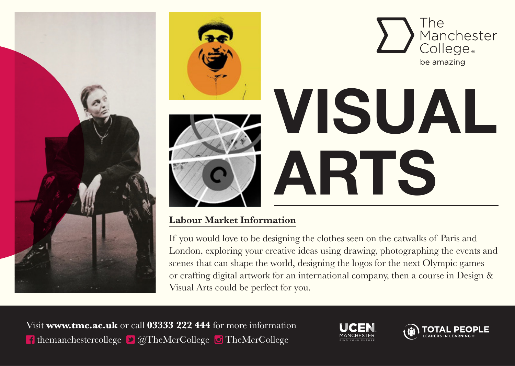



#### **Labour Market Information**

If you would love to be designing the clothes seen on the catwalks of Paris and London, exploring your creative ideas using drawing, photographing the events and scenes that can shape the world, designing the logos for the next Olympic games or crafting digital artwork for an international company, then a course in Design & Visual Arts could be perfect for you.

Visit **www.tmc.ac.uk** or call **03333 222 444** for more information **t** themanchestercollege  $\bullet$   $\alpha$  TheMcrCollege  $\bullet$  TheMcrCollege